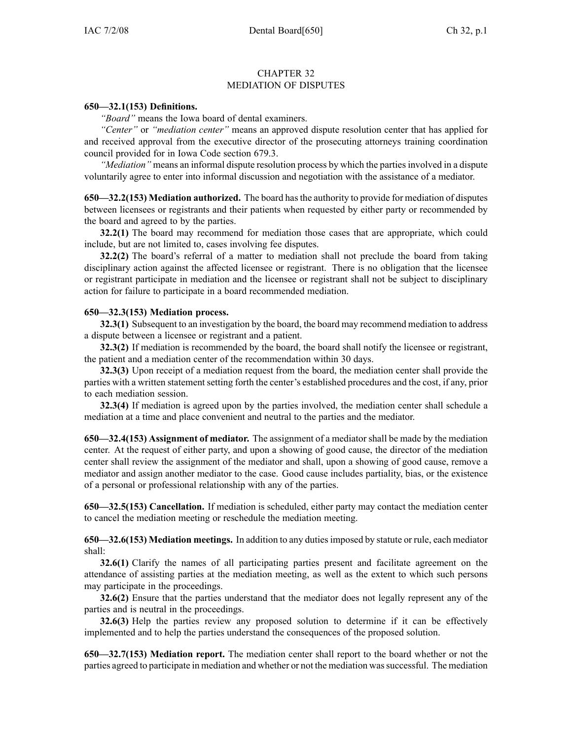## CHAPTER 32 MEDIATION OF DISPUTES

## **650—32.1(153) Definitions.**

*"Board"* means the Iowa board of dental examiners.

*"Center"* or *"mediation center"* means an approved dispute resolution center that has applied for and received approval from the executive director of the prosecuting attorneys training coordination council provided for in Iowa Code section 679.3.

*"Mediation"* means an informal dispute resolution process by which the partiesinvolved in <sup>a</sup> dispute voluntarily agree to enter into informal discussion and negotiation with the assistance of <sup>a</sup> mediator.

**650—32.2(153) Mediation authorized.** The board hasthe authority to provide for mediation of disputes between licensees or registrants and their patients when requested by either party or recommended by the board and agreed to by the parties.

**32.2(1)** The board may recommend for mediation those cases that are appropriate, which could include, but are not limited to, cases involving fee disputes.

**32.2(2)** The board's referral of <sup>a</sup> matter to mediation shall not preclude the board from taking disciplinary action against the affected licensee or registrant. There is no obligation that the licensee or registrant participate in mediation and the licensee or registrant shall not be subject to disciplinary action for failure to participate in <sup>a</sup> board recommended mediation.

## **650—32.3(153) Mediation process.**

**32.3(1)** Subsequent to an investigation by the board, the board may recommend mediation to address <sup>a</sup> dispute between <sup>a</sup> licensee or registrant and <sup>a</sup> patient.

**32.3(2)** If mediation is recommended by the board, the board shall notify the licensee or registrant, the patient and <sup>a</sup> mediation center of the recommendation within 30 days.

**32.3(3)** Upon receipt of <sup>a</sup> mediation reques<sup>t</sup> from the board, the mediation center shall provide the parties with <sup>a</sup> written statement setting forth the center's established procedures and the cost, if any, prior to each mediation session.

**32.3(4)** If mediation is agreed upon by the parties involved, the mediation center shall schedule <sup>a</sup> mediation at <sup>a</sup> time and place convenient and neutral to the parties and the mediator.

**650—32.4(153) Assignment of mediator.** The assignment of <sup>a</sup> mediator shall be made by the mediation center. At the reques<sup>t</sup> of either party, and upon <sup>a</sup> showing of good cause, the director of the mediation center shall review the assignment of the mediator and shall, upon <sup>a</sup> showing of good cause, remove <sup>a</sup> mediator and assign another mediator to the case. Good cause includes partiality, bias, or the existence of <sup>a</sup> personal or professional relationship with any of the parties.

**650—32.5(153) Cancellation.** If mediation is scheduled, either party may contact the mediation center to cancel the mediation meeting or reschedule the mediation meeting.

**650—32.6(153) Mediation meetings.** In addition to any dutiesimposed by statute or rule, each mediator shall:

**32.6(1)** Clarify the names of all participating parties presen<sup>t</sup> and facilitate agreemen<sup>t</sup> on the attendance of assisting parties at the mediation meeting, as well as the extent to which such persons may participate in the proceedings.

**32.6(2)** Ensure that the parties understand that the mediator does not legally represen<sup>t</sup> any of the parties and is neutral in the proceedings.

**32.6(3)** Help the parties review any proposed solution to determine if it can be effectively implemented and to help the parties understand the consequences of the proposed solution.

**650—32.7(153) Mediation report.** The mediation center shall repor<sup>t</sup> to the board whether or not the parties agreed to participate in mediation and whether or not the mediation wassuccessful. The mediation